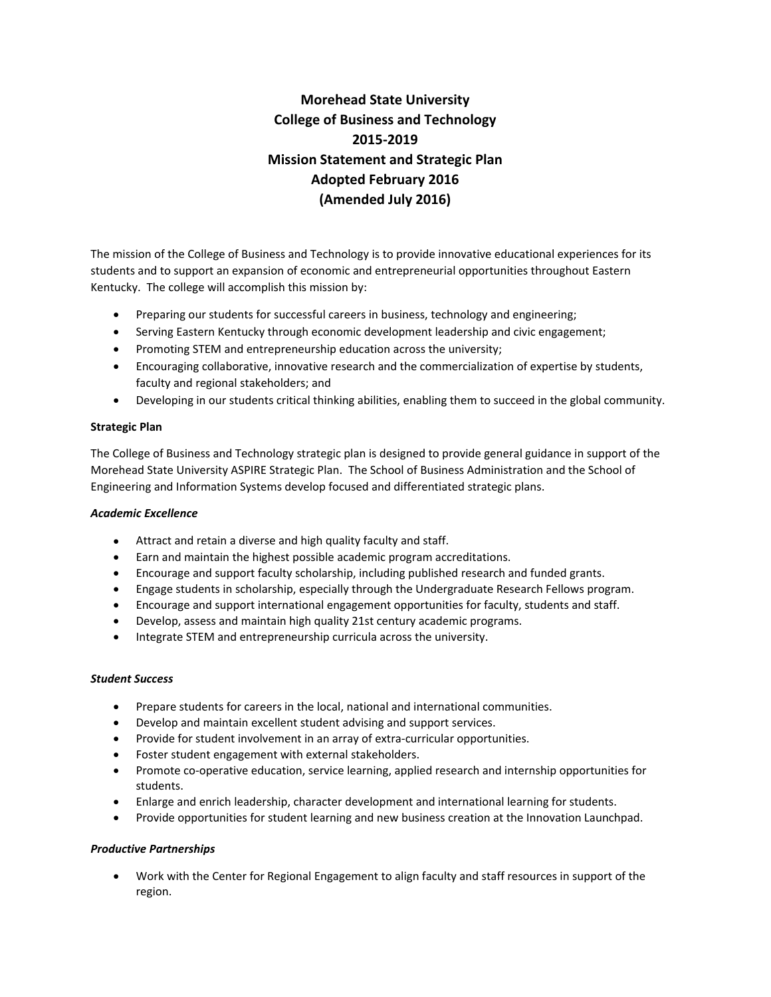# **Morehead State University College of Business and Technology 2015‐2019 Mission Statement and Strategic Plan Adopted February 2016 (Amended July 2016)**

The mission of the College of Business and Technology is to provide innovative educational experiences for its students and to support an expansion of economic and entrepreneurial opportunities throughout Eastern Kentucky. The college will accomplish this mission by:

- Preparing our students for successful careers in business, technology and engineering;
- Serving Eastern Kentucky through economic development leadership and civic engagement;
- Promoting STEM and entrepreneurship education across the university;
- Encouraging collaborative, innovative research and the commercialization of expertise by students, faculty and regional stakeholders; and
- Developing in our students critical thinking abilities, enabling them to succeed in the global community.

### **Strategic Plan**

The College of Business and Technology strategic plan is designed to provide general guidance in support of the Morehead State University ASPIRE Strategic Plan. The School of Business Administration and the School of Engineering and Information Systems develop focused and differentiated strategic plans.

# *Academic Excellence*

- Attract and retain a diverse and high quality faculty and staff.
- Earn and maintain the highest possible academic program accreditations.
- Encourage and support faculty scholarship, including published research and funded grants.
- Engage students in scholarship, especially through the Undergraduate Research Fellows program.
- Encourage and support international engagement opportunities for faculty, students and staff.
- Develop, assess and maintain high quality 21st century academic programs.
- Integrate STEM and entrepreneurship curricula across the university.

### *Student Success*

- Prepare students for careers in the local, national and international communities.
- Develop and maintain excellent student advising and support services.
- Provide for student involvement in an array of extra-curricular opportunities.
- Foster student engagement with external stakeholders.
- Promote co-operative education, service learning, applied research and internship opportunities for students.
- Enlarge and enrich leadership, character development and international learning for students.
- Provide opportunities for student learning and new business creation at the Innovation Launchpad.

# *Productive Partnerships*

 Work with the Center for Regional Engagement to align faculty and staff resources in support of the region.